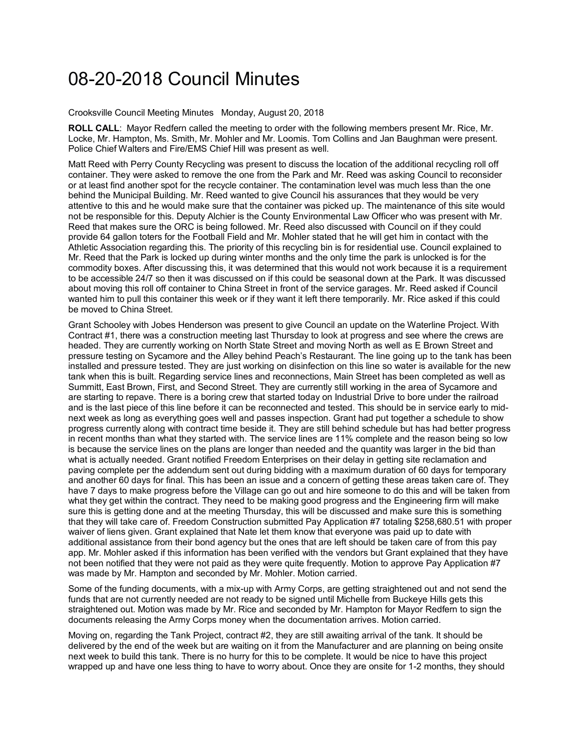## 08-20-2018 Council Minutes

Crooksville Council Meeting Minutes Monday, August 20, 2018

**ROLL CALL**: Mayor Redfern called the meeting to order with the following members present Mr. Rice, Mr. Locke, Mr. Hampton, Ms. Smith, Mr. Mohler and Mr. Loomis. Tom Collins and Jan Baughman were present. Police Chief Walters and Fire/EMS Chief Hill was present as well.

Matt Reed with Perry County Recycling was present to discuss the location of the additional recycling roll off container. They were asked to remove the one from the Park and Mr. Reed was asking Council to reconsider or at least find another spot for the recycle container. The contamination level was much less than the one behind the Municipal Building. Mr. Reed wanted to give Council his assurances that they would be very attentive to this and he would make sure that the container was picked up. The maintenance of this site would not be responsible for this. Deputy Alchier is the County Environmental Law Officer who was present with Mr. Reed that makes sure the ORC is being followed. Mr. Reed also discussed with Council on if they could provide 64 gallon toters for the Football Field and Mr. Mohler stated that he will get him in contact with the Athletic Association regarding this. The priority of this recycling bin is for residential use. Council explained to Mr. Reed that the Park is locked up during winter months and the only time the park is unlocked is for the commodity boxes. After discussing this, it was determined that this would not work because it is a requirement to be accessible 24/7 so then it was discussed on if this could be seasonal down at the Park. It was discussed about moving this roll off container to China Street in front of the service garages. Mr. Reed asked if Council wanted him to pull this container this week or if they want it left there temporarily. Mr. Rice asked if this could be moved to China Street.

Grant Schooley with Jobes Henderson was present to give Council an update on the Waterline Project. With Contract #1, there was a construction meeting last Thursday to look at progress and see where the crews are headed. They are currently working on North State Street and moving North as well as E Brown Street and pressure testing on Sycamore and the Alley behind Peach's Restaurant. The line going up to the tank has been installed and pressure tested. They are just working on disinfection on this line so water is available for the new tank when this is built. Regarding service lines and reconnections, Main Street has been completed as well as Summitt, East Brown, First, and Second Street. They are currently still working in the area of Sycamore and are starting to repave. There is a boring crew that started today on Industrial Drive to bore under the railroad and is the last piece of this line before it can be reconnected and tested. This should be in service early to midnext week as long as everything goes well and passes inspection. Grant had put together a schedule to show progress currently along with contract time beside it. They are still behind schedule but has had better progress in recent months than what they started with. The service lines are 11% complete and the reason being so low is because the service lines on the plans are longer than needed and the quantity was larger in the bid than what is actually needed. Grant notified Freedom Enterprises on their delay in getting site reclamation and paving complete per the addendum sent out during bidding with a maximum duration of 60 days for temporary and another 60 days for final. This has been an issue and a concern of getting these areas taken care of. They have 7 days to make progress before the Village can go out and hire someone to do this and will be taken from what they get within the contract. They need to be making good progress and the Engineering firm will make sure this is getting done and at the meeting Thursday, this will be discussed and make sure this is something that they will take care of. Freedom Construction submitted Pay Application #7 totaling \$258,680.51 with proper waiver of liens given. Grant explained that Nate let them know that everyone was paid up to date with additional assistance from their bond agency but the ones that are left should be taken care of from this pay app. Mr. Mohler asked if this information has been verified with the vendors but Grant explained that they have not been notified that they were not paid as they were quite frequently. Motion to approve Pay Application #7 was made by Mr. Hampton and seconded by Mr. Mohler. Motion carried.

Some of the funding documents, with a mix-up with Army Corps, are getting straightened out and not send the funds that are not currently needed are not ready to be signed until Michelle from Buckeye Hills gets this straightened out. Motion was made by Mr. Rice and seconded by Mr. Hampton for Mayor Redfern to sign the documents releasing the Army Corps money when the documentation arrives. Motion carried.

Moving on, regarding the Tank Project, contract #2, they are still awaiting arrival of the tank. It should be delivered by the end of the week but are waiting on it from the Manufacturer and are planning on being onsite next week to build this tank. There is no hurry for this to be complete. It would be nice to have this project wrapped up and have one less thing to have to worry about. Once they are onsite for 1-2 months, they should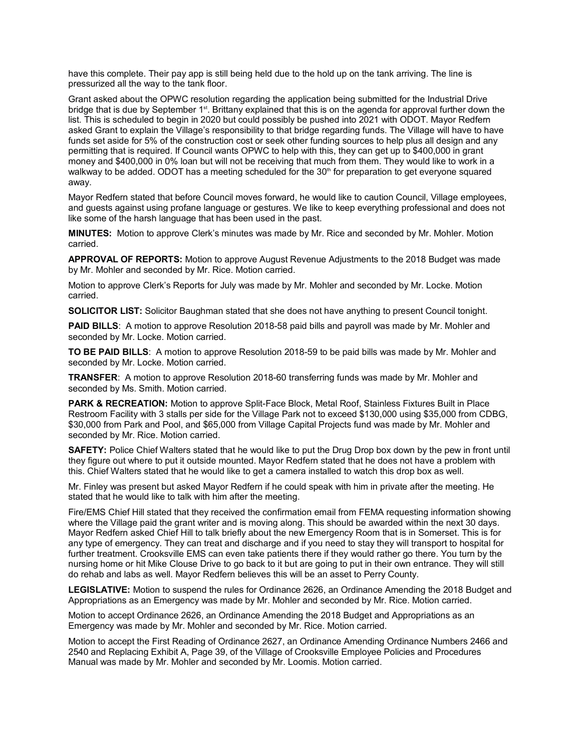have this complete. Their pay app is still being held due to the hold up on the tank arriving. The line is pressurized all the way to the tank floor.

Grant asked about the OPWC resolution regarding the application being submitted for the Industrial Drive bridge that is due by September 1<sup>st</sup>. Brittany explained that this is on the agenda for approval further down the list. This is scheduled to begin in 2020 but could possibly be pushed into 2021 with ODOT. Mayor Redfern asked Grant to explain the Village's responsibility to that bridge regarding funds. The Village will have to have funds set aside for 5% of the construction cost or seek other funding sources to help plus all design and any permitting that is required. If Council wants OPWC to help with this, they can get up to \$400,000 in grant money and \$400,000 in 0% loan but will not be receiving that much from them. They would like to work in a walkway to be added. ODOT has a meeting scheduled for the 30<sup>th</sup> for preparation to get everyone squared away.

Mayor Redfern stated that before Council moves forward, he would like to caution Council, Village employees, and guests against using profane language or gestures. We like to keep everything professional and does not like some of the harsh language that has been used in the past.

**MINUTES:** Motion to approve Clerk's minutes was made by Mr. Rice and seconded by Mr. Mohler. Motion carried.

**APPROVAL OF REPORTS:** Motion to approve August Revenue Adjustments to the 2018 Budget was made by Mr. Mohler and seconded by Mr. Rice. Motion carried.

Motion to approve Clerk's Reports for July was made by Mr. Mohler and seconded by Mr. Locke. Motion carried.

**SOLICITOR LIST:** Solicitor Baughman stated that she does not have anything to present Council tonight.

**PAID BILLS:** A motion to approve Resolution 2018-58 paid bills and payroll was made by Mr. Mohler and seconded by Mr. Locke. Motion carried.

**TO BE PAID BILLS**: A motion to approve Resolution 2018-59 to be paid bills was made by Mr. Mohler and seconded by Mr. Locke. Motion carried.

**TRANSFER**: A motion to approve Resolution 2018-60 transferring funds was made by Mr. Mohler and seconded by Ms. Smith. Motion carried.

**PARK & RECREATION:** Motion to approve Split-Face Block, Metal Roof, Stainless Fixtures Built in Place Restroom Facility with 3 stalls per side for the Village Park not to exceed \$130,000 using \$35,000 from CDBG, \$30,000 from Park and Pool, and \$65,000 from Village Capital Projects fund was made by Mr. Mohler and seconded by Mr. Rice. Motion carried.

**SAFETY:** Police Chief Walters stated that he would like to put the Drug Drop box down by the pew in front until they figure out where to put it outside mounted. Mayor Redfern stated that he does not have a problem with this. Chief Walters stated that he would like to get a camera installed to watch this drop box as well.

Mr. Finley was present but asked Mayor Redfern if he could speak with him in private after the meeting. He stated that he would like to talk with him after the meeting.

Fire/EMS Chief Hill stated that they received the confirmation email from FEMA requesting information showing where the Village paid the grant writer and is moving along. This should be awarded within the next 30 days. Mayor Redfern asked Chief Hill to talk briefly about the new Emergency Room that is in Somerset. This is for any type of emergency. They can treat and discharge and if you need to stay they will transport to hospital for further treatment. Crooksville EMS can even take patients there if they would rather go there. You turn by the nursing home or hit Mike Clouse Drive to go back to it but are going to put in their own entrance. They will still do rehab and labs as well. Mayor Redfern believes this will be an asset to Perry County.

**LEGISLATIVE:** Motion to suspend the rules for Ordinance 2626, an Ordinance Amending the 2018 Budget and Appropriations as an Emergency was made by Mr. Mohler and seconded by Mr. Rice. Motion carried.

Motion to accept Ordinance 2626, an Ordinance Amending the 2018 Budget and Appropriations as an Emergency was made by Mr. Mohler and seconded by Mr. Rice. Motion carried.

Motion to accept the First Reading of Ordinance 2627, an Ordinance Amending Ordinance Numbers 2466 and 2540 and Replacing Exhibit A, Page 39, of the Village of Crooksville Employee Policies and Procedures Manual was made by Mr. Mohler and seconded by Mr. Loomis. Motion carried.